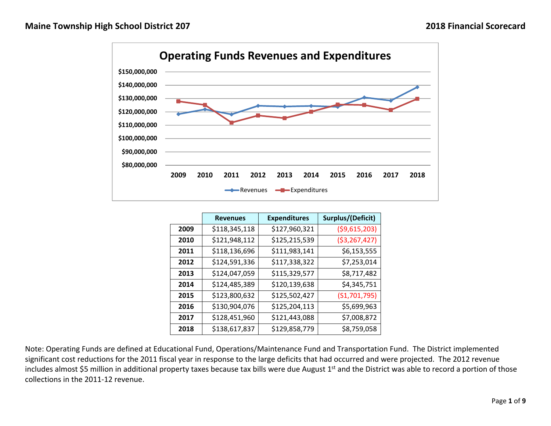

|      | <b>Revenues</b> | <b>Expenditures</b> | Surplus/(Deficit) |
|------|-----------------|---------------------|-------------------|
| 2009 | \$118,345,118   | \$127,960,321       | ( \$9,615,203)    |
| 2010 | \$121,948,112   | \$125,215,539       | ( \$3, 267, 427)  |
| 2011 | \$118,136,696   | \$111,983,141       | \$6,153,555       |
| 2012 | \$124,591,336   | \$117,338,322       | \$7,253,014       |
| 2013 | \$124,047,059   | \$115,329,577       | \$8,717,482       |
| 2014 | \$124,485,389   | \$120,139,638       | \$4,345,751       |
| 2015 | \$123,800,632   | \$125,502,427       | (S1, 701, 795)    |
| 2016 | \$130,904,076   | \$125,204,113       | \$5,699,963       |
| 2017 | \$128,451,960   | \$121,443,088       | \$7,008,872       |
| 2018 | \$138,617,837   | \$129,858,779       | \$8,759,058       |

Note: Operating Funds are defined at Educational Fund, Operations/Maintenance Fund and Transportation Fund. The District implemented significant cost reductions for the 2011 fiscal year in response to the large deficits that had occurred and were projected. The 2012 revenue includes almost \$5 million in additional property taxes because tax bills were due August 1<sup>st</sup> and the District was able to record a portion of those collections in the 2011‐12 revenue.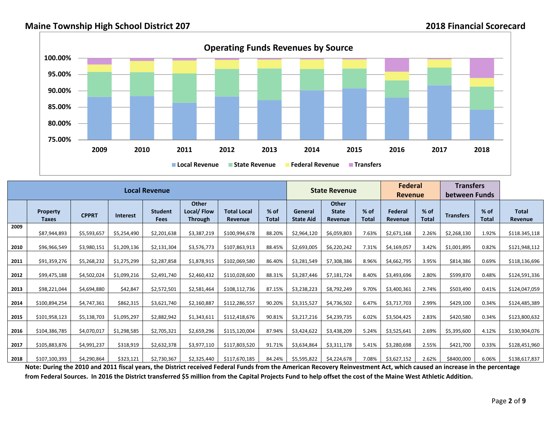

|      |                                 |              |                 | <b>Local Revenue</b>          |                                              |                                      |                        |                             | <b>State Revenue</b>                           |                        | <b>Federal</b><br><b>Revenue</b> |                        | <b>Transfers</b><br>between Funds |                        |                                |
|------|---------------------------------|--------------|-----------------|-------------------------------|----------------------------------------------|--------------------------------------|------------------------|-----------------------------|------------------------------------------------|------------------------|----------------------------------|------------------------|-----------------------------------|------------------------|--------------------------------|
|      | <b>Property</b><br><b>Taxes</b> | <b>CPPRT</b> | <b>Interest</b> | <b>Student</b><br><b>Fees</b> | <b>Other</b><br>Local/Flow<br><b>Through</b> | <b>Total Local</b><br><b>Revenue</b> | $%$ of<br><b>Total</b> | General<br><b>State Aid</b> | <b>Other</b><br><b>State</b><br><b>Revenue</b> | $%$ of<br><b>Total</b> | Federal<br><b>Revenue</b>        | $%$ of<br><b>Total</b> | <b>Transfers</b>                  | $%$ of<br><b>Total</b> | <b>Total</b><br><b>Revenue</b> |
| 2009 | \$87,944,893                    | \$5,593,657  | \$5,254,490     | \$2,201,638                   | \$3,387,219                                  | \$100,994,678                        | 88.20%                 | \$2,964,120                 | \$6,059,803                                    | 7.63%                  | \$2,671,168                      | 2.26%                  | \$2,268,130                       | 1.92%                  | \$118.345,118                  |
| 2010 | \$96,966,549                    | \$3,980,151  | \$1,209,136     | \$2,131,304                   | \$3,576,773                                  | \$107,863,913                        | 88.45%                 | \$2,693,005                 | \$6,220,242                                    | 7.31%                  | \$4,169,057                      | 3.42%                  | \$1,001,895                       | 0.82%                  | \$121,948,112                  |
| 2011 | \$91,359,276                    | \$5,268,232  | \$1,275,299     | \$2,287,858                   | \$1,878,915                                  | \$102,069,580                        | 86.40%                 | \$3,281,549                 | \$7,308,386                                    | 8.96%                  | \$4,662,795                      | 3.95%                  | \$814,386                         | 0.69%                  | \$118,136,696                  |
| 2012 | \$99,475,188                    | \$4,502,024  | \$1,099,216     | \$2,491,740                   | \$2,460,432                                  | \$110,028,600                        | 88.31%                 | \$3,287,446                 | \$7,181,724                                    | 8.40%                  | \$3,493,696                      | 2.80%                  | \$599,870                         | 0.48%                  | \$124,591,336                  |
| 2013 | \$98,221,044                    | \$4,694,880  | \$42,847        | \$2,572,501                   | \$2,581,464                                  | \$108,112,736                        | 87.15%                 | \$3,238,223                 | \$8,792,249                                    | 9.70%                  | \$3,400,361                      | 2.74%                  | \$503,490                         | 0.41%                  | \$124,047,059                  |
| 2014 | \$100,894,254                   | \$4,747,361  | \$862,315       | \$3,621,740                   | \$2,160,887                                  | \$112,286,557                        | 90.20%                 | \$3,315,527                 | \$4,736,502                                    | 6.47%                  | \$3,717,703                      | 2.99%                  | \$429,100                         | 0.34%                  | \$124,485,389                  |
| 2015 | \$101,958,123                   | \$5,138,703  | \$1,095,297     | \$2,882,942                   | \$1,343,611                                  | \$112,418,676                        | 90.81%                 | \$3,217,216                 | \$4,239,735                                    | 6.02%                  | \$3,504,425                      | 2.83%                  | \$420,580                         | 0.34%                  | \$123,800,632                  |
| 2016 | \$104,386,785                   | \$4,070,017  | \$1,298,585     | \$2,705,321                   | \$2,659,296                                  | \$115,120,004                        | 87.94%                 | \$3,424,622                 | \$3,438,209                                    | 5.24%                  | \$3,525,641                      | 2.69%                  | \$5,395,600                       | 4.12%                  | \$130,904,076                  |
| 2017 | \$105,883,876                   | \$4,991,237  | \$318,919       | \$2,632,378                   | \$3,977,110                                  | \$117,803,520                        | 91.71%                 | \$3,634,864                 | \$3,311,178                                    | 5.41%                  | \$3,280,698                      | 2.55%                  | \$421,700                         | 0.33%                  | \$128,451,960                  |
| 2018 | \$107,100,393                   | \$4,290,864  | \$323,121       | \$2,730,367                   | \$2,325,440                                  | \$117,670,185                        | 84.24%                 | \$5,595,822                 | \$4,224,678                                    | 7.08%                  | \$3,627,152                      | 2.62%                  | \$8400,000                        | 6.06%                  | \$138,617,837                  |

Note: During the 2010 and 2011 fiscal years, the District received Federal Funds from the American Recovery Reinvestment Act, which caused an increase in the percentage from Federal Sources. In 2016 the District transferred \$5 million from the Capital Projects Fund to help offset the cost of the Maine West Athletic Addition.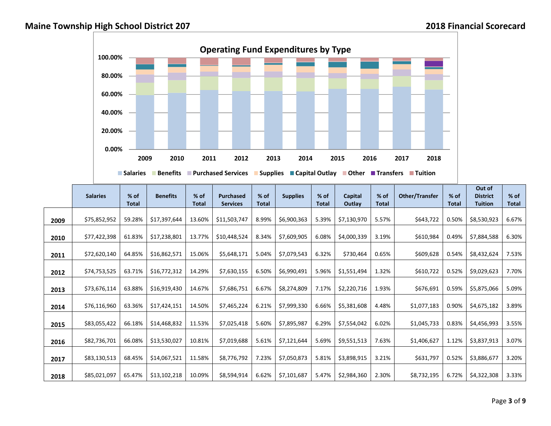

|      | <b>Salaries</b> | % of<br><b>Total</b> | <b>Benefits</b> | $%$ of<br><b>Total</b> | <b>Purchased</b><br><b>Services</b> | $%$ of<br><b>Total</b> | <b>Supplies</b> | % of<br><b>Total</b> | Capital<br>Outlay | % of<br><b>Total</b> | Other/Transfer | $%$ of<br><b>Total</b> | Out of<br><b>District</b><br><b>Tuition</b> | % of<br><b>Total</b> |
|------|-----------------|----------------------|-----------------|------------------------|-------------------------------------|------------------------|-----------------|----------------------|-------------------|----------------------|----------------|------------------------|---------------------------------------------|----------------------|
| 2009 | \$75,852,952    | 59.28%               | \$17,397,644    | 13.60%                 | \$11,503,747                        | 8.99%                  | \$6,900,363     | 5.39%                | \$7,130,970       | 5.57%                | \$643,722      | 0.50%                  | \$8,530,923                                 | 6.67%                |
| 2010 | \$77,422,398    | 61.83%               | \$17,238,801    | 13.77%                 | \$10,448,524                        | 8.34%                  | \$7,609,905     | 6.08%                | \$4,000,339       | 3.19%                | \$610,984      | 0.49%                  | \$7,884,588                                 | 6.30%                |
| 2011 | \$72,620,140    | 64.85%               | \$16,862,571    | 15.06%                 | \$5,648,171                         | 5.04%                  | \$7,079,543     | 6.32%                | \$730,464         | 0.65%                | \$609,628      | 0.54%                  | \$8,432,624                                 | 7.53%                |
| 2012 | \$74,753,525    | 63.71%               | \$16,772,312    | 14.29%                 | \$7,630,155                         | 6.50%                  | \$6,990,491     | 5.96%                | \$1,551,494       | 1.32%                | \$610,722      | 0.52%                  | \$9,029,623                                 | 7.70%                |
| 2013 | \$73,676,114    | 63.88%               | \$16,919,430    | 14.67%                 | \$7,686,751                         | 6.67%                  | \$8,274,809     | 7.17%                | \$2,220,716       | 1.93%                | \$676,691      | 0.59%                  | \$5,875,066                                 | 5.09%                |
| 2014 | \$76,116,960    | 63.36%               | \$17,424,151    | 14.50%                 | \$7,465,224                         | 6.21%                  | \$7,999,330     | 6.66%                | \$5,381,608       | 4.48%                | \$1,077,183    | 0.90%                  | \$4,675,182                                 | 3.89%                |
| 2015 | \$83,055,422    | 66.18%               | \$14,468,832    | 11.53%                 | \$7,025,418                         | 5.60%                  | \$7,895,987     | 6.29%                | \$7,554,042       | 6.02%                | \$1,045,733    | 0.83%                  | \$4,456,993                                 | 3.55%                |
| 2016 | \$82,736,701    | 66.08%               | \$13,530,027    | 10.81%                 | \$7,019,688                         | 5.61%                  | \$7,121,644     | 5.69%                | \$9,551,513       | 7.63%                | \$1,406,627    | 1.12%                  | \$3,837,913                                 | 3.07%                |
| 2017 | \$83,130,513    | 68.45%               | \$14,067,521    | 11.58%                 | \$8,776,792                         | 7.23%                  | \$7,050,873     | 5.81%                | \$3,898,915       | 3.21%                | \$631,797      | 0.52%                  | \$3,886,677                                 | 3.20%                |
| 2018 | \$85,021,097    | 65.47%               | \$13,102,218    | 10.09%                 | \$8,594,914                         | 6.62%                  | \$7,101,687     | 5.47%                | \$2,984,360       | 2.30%                | \$8,732,195    | 6.72%                  | \$4,322,308                                 | 3.33%                |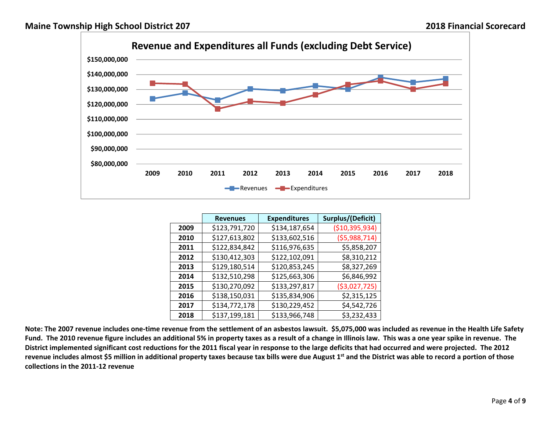

|      | <b>Revenues</b> | <b>Expenditures</b> | Surplus/(Deficit) |
|------|-----------------|---------------------|-------------------|
| 2009 | \$123,791,720   | \$134,187,654       | ( \$10,395,934)   |
| 2010 | \$127,613,802   | \$133,602,516       | (55,988,714)      |
| 2011 | \$122,834,842   | \$116,976,635       | \$5,858,207       |
| 2012 | \$130,412,303   | \$122,102,091       | \$8,310,212       |
| 2013 | \$129,180,514   | \$120,853,245       | \$8,327,269       |
| 2014 | \$132,510,298   | \$125,663,306       | \$6,846,992       |
| 2015 | \$130,270,092   | \$133,297,817       | ( \$3,027,725)    |
| 2016 | \$138,150,031   | \$135,834,906       | \$2,315,125       |
| 2017 | \$134,772,178   | \$130,229,452       | \$4,542,726       |
| 2018 | \$137,199,181   | \$133,966,748       | \$3,232,433       |

Note: The 2007 revenue includes one-time revenue from the settlement of an asbestos lawsuit. \$5,075,000 was included as revenue in the Health Life Safety Fund. The 2010 revenue figure includes an additional 5% in property taxes as a result of a change in Illinois law. This was a one year spike in revenue. The District implemented significant cost reductions for the 2011 fiscal year in response to the large deficits that had occurred and were projected. The 2012 revenue includes almost \$5 million in additional property taxes because tax bills were due August 1<sup>st</sup> and the District was able to record a portion of those **collections in the 2011‐12 revenue**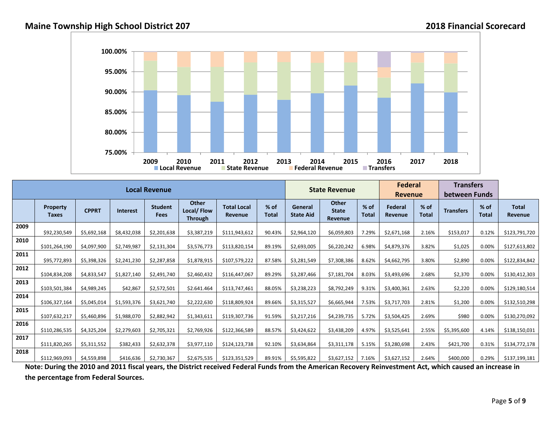

|      |                                 |              |                 | <b>Local Revenue</b>   |                                              |                                      |                 |                             | <b>State Revenue</b>             |                        | <b>Federal</b><br><b>Revenue</b> |                 | <b>Transfers</b><br>between Funds |                      |                                |
|------|---------------------------------|--------------|-----------------|------------------------|----------------------------------------------|--------------------------------------|-----------------|-----------------------------|----------------------------------|------------------------|----------------------------------|-----------------|-----------------------------------|----------------------|--------------------------------|
|      | <b>Property</b><br><b>Taxes</b> | <b>CPPRT</b> | <b>Interest</b> | <b>Student</b><br>Fees | <b>Other</b><br>Local/Flow<br><b>Through</b> | <b>Total Local</b><br><b>Revenue</b> | $%$ of<br>Total | General<br><b>State Aid</b> | Other<br><b>State</b><br>Revenue | $%$ of<br><b>Total</b> | <b>Federal</b><br><b>Revenue</b> | $%$ of<br>Total | <b>Transfers</b>                  | % of<br><b>Total</b> | <b>Total</b><br><b>Revenue</b> |
| 2009 | \$92,230,549                    | \$5,692,168  | \$8,432,038     | \$2,201,638            | \$3,387,219                                  | \$111,943,612                        | 90.43%          | \$2,964,120                 | \$6,059,803                      | 7.29%                  | \$2,671,168                      | 2.16%           | \$153,017                         | 0.12%                | \$123,791,720                  |
| 2010 | \$101,264,190                   | \$4,097,900  | \$2,749,987     | \$2,131,304            | \$3,576,773                                  | \$113,820,154                        | 89.19%          | \$2,693,005                 | \$6,220,242                      | 6.98%                  | \$4,879,376                      | 3.82%           | \$1,025                           | 0.00%                | \$127,613,802                  |
| 2011 | \$95,772,893                    | \$5,398,326  | \$2,241,230     | \$2,287,858            | \$1,878,915                                  | \$107,579,222                        | 87.58%          | \$3,281,549                 | \$7,308,386                      | 8.62%                  | \$4,662,795                      | 3.80%           | \$2,890                           | 0.00%                | \$122,834,842                  |
| 2012 | \$104,834,208                   | \$4,833,547  | \$1,827,140     | \$2,491,740            | \$2,460,432                                  | \$116,447,067                        | 89.29%          | \$3,287,466                 | \$7,181,704                      | 8.03%                  | \$3,493,696                      | 2.68%           | \$2,370                           | 0.00%                | \$130,412,303                  |
| 2013 | \$103,501,384                   | \$4,989,245  | \$42,867        | \$2,572,501            | \$2.641.464                                  | \$113,747,461                        | 88.05%          | \$3,238,223                 | \$8,792,249                      | 9.31%                  | \$3,400,361                      | 2.63%           | \$2,220                           | 0.00%                | \$129,180,514                  |
| 2014 | \$106,327,164                   | \$5,045,014  | \$1,593,376     | \$3,621,740            | \$2,222,630                                  | \$118,809,924                        | 89.66%          | \$3,315,527                 | \$6,665,944                      | 7.53%                  | \$3,717,703                      | 2.81%           | \$1,200                           | 0.00%                | \$132,510,298                  |
| 2015 | \$107,632,217                   | \$5,460,896  | \$1,988,070     | \$2,882,942            | \$1,343,611                                  | \$119,307,736                        | 91.59%          | \$3,217,216                 | \$4,239,735                      | 5.72%                  | \$3,504,425                      | 2.69%           | \$980                             | 0.00%                | \$130,270,092                  |
| 2016 | \$110,286,535                   | \$4,325,204  | \$2,279,603     | \$2,705,321            | \$2,769,926                                  | \$122,366,589                        | 88.57%          | \$3,424,622                 | \$3,438,209                      | 4.97%                  | \$3,525,641                      | 2.55%           | \$5,395,600                       | 4.14%                | \$138,150,031                  |
| 2017 | \$111,820,265                   | \$5,311,552  | \$382,433       | \$2,632,378            | \$3,977,110                                  | \$124,123,738                        | 92.10%          | \$3,634,864                 | \$3,311,178                      | 5.15%                  | \$3,280,698                      | 2.43%           | \$421,700                         | 0.31%                | \$134,772,178                  |
| 2018 | \$112,969,093                   | \$4,559,898  | \$416,636       | \$2,730,367            | \$2,675,535                                  | \$123,351,529                        | 89.91%          | \$5,595,822                 | \$3,627,152                      | 7.16%                  | \$3,627,152                      | 2.64%           | \$400,000                         | 0.29%                | \$137,199,181                  |

Note: During the 2010 and 2011 fiscal years, the District received Federal Funds from the American Recovery Reinvestment Act, which caused an increase in **the percentage from Federal Sources.**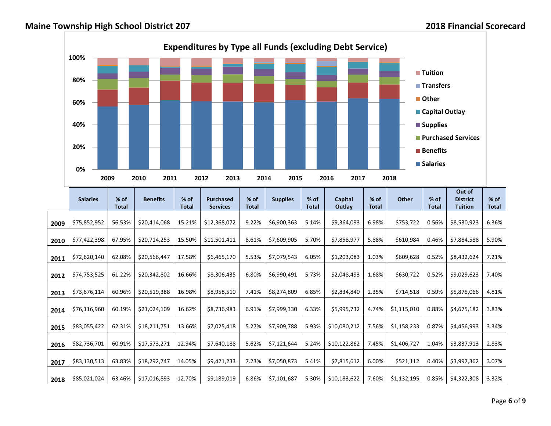## **Maine Township High School District 207 2018 Financial Scorecard**



|      | <b>Salaries</b> | $%$ of       | <b>Benefits</b> | $%$ of       | <b>Purchased</b> | $%$ of       | <b>Supplies</b> | $%$ of       | Capital      | $%$ of       | Other       | $%$ of | Out of<br><b>District</b> | $%$ of       |
|------|-----------------|--------------|-----------------|--------------|------------------|--------------|-----------------|--------------|--------------|--------------|-------------|--------|---------------------------|--------------|
|      |                 | <b>Total</b> |                 | <b>Total</b> | <b>Services</b>  | <b>Total</b> |                 | <b>Total</b> | Outlay       | <b>Total</b> |             | Total  | <b>Tuition</b>            | <b>Total</b> |
| 2009 | \$75,852,952    | 56.53%       | \$20,414,068    | 15.21%       | \$12,368,072     | 9.22%        | \$6,900,363     | 5.14%        | \$9,364,093  | 6.98%        | \$753,722   | 0.56%  | \$8,530,923               | 6.36%        |
| 2010 | \$77,422,398    | 67.95%       | \$20,714,253    | 15.50%       | \$11,501,411     | 8.61%        | \$7,609,905     | 5.70%        | \$7,858,977  | 5.88%        | \$610,984   | 0.46%  | \$7,884,588               | 5.90%        |
| 2011 | \$72,620,140    | 62.08%       | \$20,566,447    | 17.58%       | \$6,465,170      | 5.53%        | \$7,079,543     | 6.05%        | \$1,203,083  | 1.03%        | \$609,628   | 0.52%  | \$8,432,624               | 7.21%        |
| 2012 | \$74,753,525    | 61.22%       | \$20,342,802    | 16.66%       | \$8,306,435      | 6.80%        | \$6,990,491     | 5.73%        | \$2,048,493  | 1.68%        | \$630,722   | 0.52%  | \$9,029,623               | 7.40%        |
| 2013 | \$73,676,114    | 60.96%       | \$20,519,388    | 16.98%       | \$8,958,510      | 7.41%        | \$8,274,809     | 6.85%        | \$2,834,840  | 2.35%        | \$714,518   | 0.59%  | \$5,875,066               | 4.81%        |
| 2014 | \$76,116,960    | 60.19%       | \$21,024,109    | 16.62%       | \$8,736,983      | 6.91%        | \$7,999,330     | 6.33%        | \$5,995,732  | 4.74%        | \$1,115,010 | 0.88%  | \$4,675,182               | 3.83%        |
| 2015 | \$83,055,422    | 62.31%       | \$18,211,751    | 13.66%       | \$7,025,418      | 5.27%        | \$7,909,788     | 5.93%        | \$10,080,212 | 7.56%        | \$1,158,233 | 0.87%  | \$4,456,993               | 3.34%        |
| 2016 | \$82,736,701    | 60.91%       | \$17,573,271    | 12.94%       | \$7,640,188      | 5.62%        | \$7,121,644     | 5.24%        | \$10,122,862 | 7.45%        | \$1,406,727 | 1.04%  | \$3,837,913               | 2.83%        |
| 2017 | \$83,130,513    | 63.83%       | \$18,292,747    | 14.05%       | \$9,421,233      | 7.23%        | \$7,050,873     | 5.41%        | \$7,815,612  | 6.00%        | \$521,112   | 0.40%  | \$3,997,362               | 3.07%        |
| 2018 | \$85,021,024    | 63.46%       | \$17,016,893    | 12.70%       | \$9,189,019      | 6.86%        | \$7,101,687     | 5.30%        | \$10,183,622 | 7.60%        | \$1,132,195 | 0.85%  | \$4,322,308               | 3.32%        |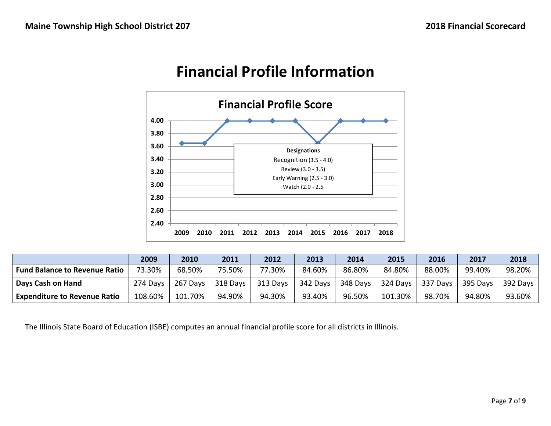

## **Financial Profile Information**

|                                      | 2009     | 2010     | 2011     | 2012     | 2013     | 2014     | 2015     | 2016     | 2017     | 2018     |
|--------------------------------------|----------|----------|----------|----------|----------|----------|----------|----------|----------|----------|
| <b>Fund Balance to Revenue Ratio</b> | 73.30%   | 68.50%   | 75.50%   | 77.30%   | 84.60%   | 86.80%   | 84.80%   | 88.00%   | 99.40%   | 98.20%   |
| Days Cash on Hand                    | 274 Days | 267 Days | 318 Days | 313 Days | 342 Days | 348 Days | 324 Days | 337 Days | 395 Days | 392 Days |
| <b>Expenditure to Revenue Ratio</b>  | 108.60%  | 101.70%  | 94.90%   | 94.30%   | 93.40%   | 96.50%   | 101.30%  | 98.70%   | 94.80%   | 93.60%   |

The Illinois State Board of Education (ISBE) computes an annual financial profile score for all districts in Illinois.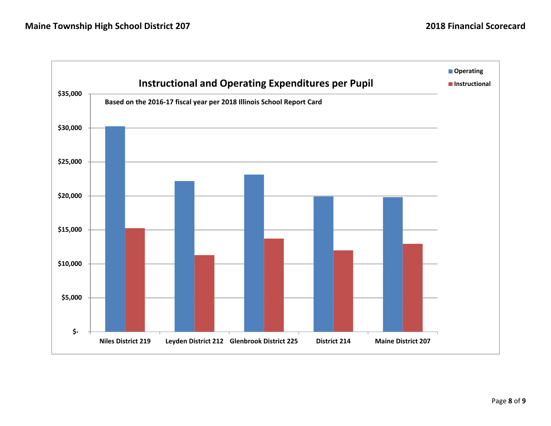